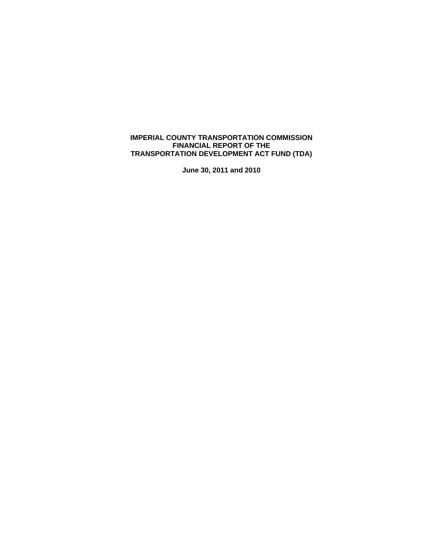# **IMPERIAL COUNTY TRANSPORTATION COMMISSION FINANCIAL REPORT OF THE TRANSPORTATION DEVELOPMENT ACT FUND (TDA)**

**June 30, 2011 and 2010**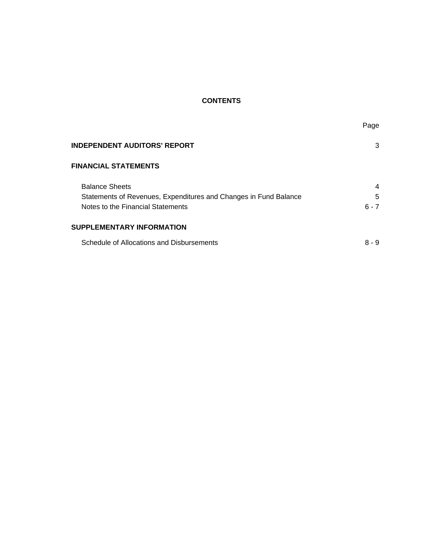# **CONTENTS**

| <b>INDEPENDENT AUDITORS' REPORT</b>                              | 3       |
|------------------------------------------------------------------|---------|
| <b>FINANCIAL STATEMENTS</b>                                      |         |
| <b>Balance Sheets</b>                                            | 4       |
| Statements of Revenues, Expenditures and Changes in Fund Balance | 5       |
| Notes to the Financial Statements                                | $6 - 7$ |
| SUPPLEMENTARY INFORMATION                                        |         |
| Schedule of Allocations and Disbursements                        | $8 - 9$ |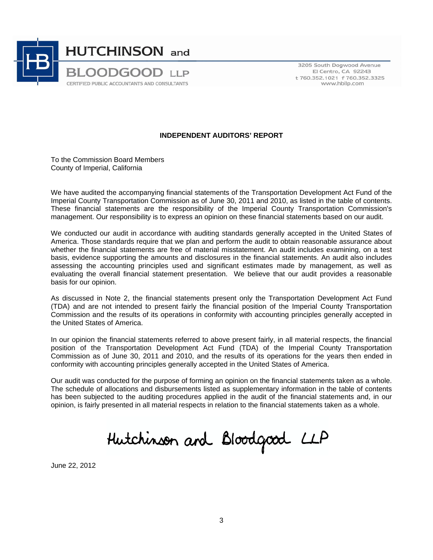

3205 South Dogwood Avenue El Centro, CA 92243 t 760.352.1021 f 760.352.3325 www.hbllp.com

### **INDEPENDENT AUDITORS' REPORT**

To the Commission Board Members County of Imperial, California

We have audited the accompanying financial statements of the Transportation Development Act Fund of the Imperial County Transportation Commission as of June 30, 2011 and 2010, as listed in the table of contents. These financial statements are the responsibility of the Imperial County Transportation Commission's management. Our responsibility is to express an opinion on these financial statements based on our audit.

We conducted our audit in accordance with auditing standards generally accepted in the United States of America. Those standards require that we plan and perform the audit to obtain reasonable assurance about whether the financial statements are free of material misstatement. An audit includes examining, on a test basis, evidence supporting the amounts and disclosures in the financial statements. An audit also includes assessing the accounting principles used and significant estimates made by management, as well as evaluating the overall financial statement presentation. We believe that our audit provides a reasonable basis for our opinion.

As discussed in Note 2, the financial statements present only the Transportation Development Act Fund (TDA) and are not intended to present fairly the financial position of the Imperial County Transportation Commission and the results of its operations in conformity with accounting principles generally accepted in the United States of America.

In our opinion the financial statements referred to above present fairly, in all material respects, the financial position of the Transportation Development Act Fund (TDA) of the Imperial County Transportation Commission as of June 30, 2011 and 2010, and the results of its operations for the years then ended in conformity with accounting principles generally accepted in the United States of America.

Our audit was conducted for the purpose of forming an opinion on the financial statements taken as a whole. The schedule of allocations and disbursements listed as supplementary information in the table of contents has been subjected to the auditing procedures applied in the audit of the financial statements and, in our opinion, is fairly presented in all material respects in relation to the financial statements taken as a whole.

Hutchinson and Bloodgood LLP

June 22, 2012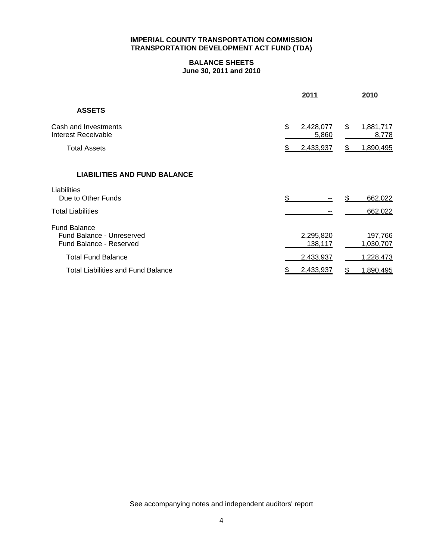# **BALANCE SHEETS June 30, 2011 and 2010**

|                                                                                    | 2011                     | 2010                     |
|------------------------------------------------------------------------------------|--------------------------|--------------------------|
| <b>ASSETS</b>                                                                      |                          |                          |
| Cash and Investments<br>Interest Receivable                                        | \$<br>2,428,077<br>5,860 | \$<br>1,881,717<br>8,778 |
| <b>Total Assets</b>                                                                | 2,433,937                | 1,890,495                |
| <b>LIABILITIES AND FUND BALANCE</b>                                                |                          |                          |
| Liabilities<br>Due to Other Funds                                                  | \$                       | 662,022<br>\$            |
| <b>Total Liabilities</b>                                                           |                          | 662,022                  |
| <b>Fund Balance</b><br>Fund Balance - Unreserved<br><b>Fund Balance - Reserved</b> | 2,295,820<br>138,117     | 197,766<br>1,030,707     |
| <b>Total Fund Balance</b>                                                          | 2,433,937                | 1,228,473                |
| <b>Total Liabilities and Fund Balance</b>                                          | 2,433,937<br>\$          | \$<br>1,890,495          |

See accompanying notes and independent auditors' report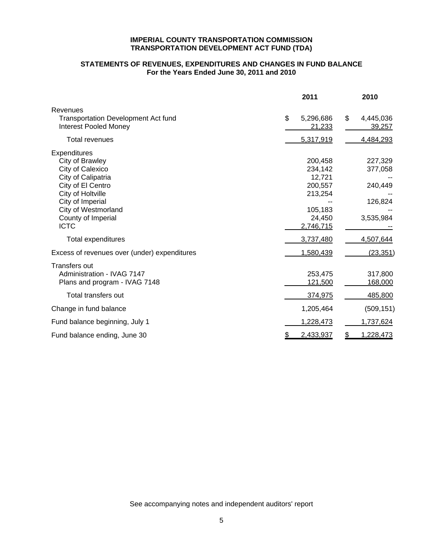# **STATEMENTS OF REVENUES, EXPENDITURES AND CHANGES IN FUND BALANCE For the Years Ended June 30, 2011 and 2010**

|                                                                                                                                                                                                     | 2011                                                                                 | 2010                                                  |
|-----------------------------------------------------------------------------------------------------------------------------------------------------------------------------------------------------|--------------------------------------------------------------------------------------|-------------------------------------------------------|
| Revenues<br><b>Transportation Development Act fund</b><br><b>Interest Pooled Money</b>                                                                                                              | \$<br>5,296,686<br>21,233                                                            | \$<br>4,445,036<br>39,257                             |
| Total revenues                                                                                                                                                                                      | 5,317,919                                                                            | 4,484,293                                             |
| Expenditures<br>City of Brawley<br>City of Calexico<br>City of Calipatria<br>City of El Centro<br>City of Holtville<br>City of Imperial<br>City of Westmorland<br>County of Imperial<br><b>ICTC</b> | 200.458<br>234,142<br>12,721<br>200,557<br>213,254<br>105,183<br>24,450<br>2,746,715 | 227,329<br>377,058<br>240,449<br>126,824<br>3,535,984 |
| Total expenditures                                                                                                                                                                                  | 3,737,480                                                                            | 4,507,644                                             |
| Excess of revenues over (under) expenditures                                                                                                                                                        | 1,580,439                                                                            | (23, 351)                                             |
| <b>Transfers out</b><br>Administration - IVAG 7147<br>Plans and program - IVAG 7148<br>Total transfers out                                                                                          | 253,475<br>121,500<br>374,975                                                        | 317,800<br>168,000<br>485,800                         |
| Change in fund balance                                                                                                                                                                              | 1,205,464                                                                            | (509, 151)                                            |
| Fund balance beginning, July 1                                                                                                                                                                      | 1,228,473                                                                            | 1,737,624                                             |
| Fund balance ending, June 30                                                                                                                                                                        | 2,433,937                                                                            | \$<br>1,228,473                                       |

See accompanying notes and independent auditors' report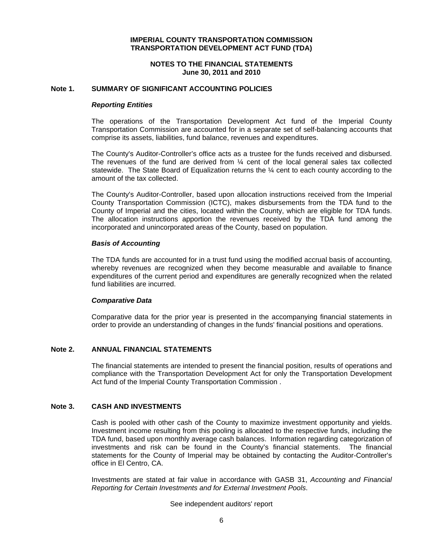#### **NOTES TO THE FINANCIAL STATEMENTS June 30, 2011 and 2010**

#### **Note 1. SUMMARY OF SIGNIFICANT ACCOUNTING POLICIES**

#### *Reporting Entities*

The operations of the Transportation Development Act fund of the Imperial County Transportation Commission are accounted for in a separate set of self-balancing accounts that comprise its assets, liabilities, fund balance, revenues and expenditures.

The County's Auditor-Controller's office acts as a trustee for the funds received and disbursed. The revenues of the fund are derived from  $\frac{1}{4}$  cent of the local general sales tax collected statewide. The State Board of Equalization returns the ¼ cent to each county according to the amount of the tax collected.

The County's Auditor-Controller, based upon allocation instructions received from the Imperial County Transportation Commission (ICTC), makes disbursements from the TDA fund to the County of Imperial and the cities, located within the County, which are eligible for TDA funds. The allocation instructions apportion the revenues received by the TDA fund among the incorporated and unincorporated areas of the County, based on population.

#### *Basis of Accounting*

The TDA funds are accounted for in a trust fund using the modified accrual basis of accounting, whereby revenues are recognized when they become measurable and available to finance expenditures of the current period and expenditures are generally recognized when the related fund liabilities are incurred.

#### *Comparative Data*

Comparative data for the prior year is presented in the accompanying financial statements in order to provide an understanding of changes in the funds' financial positions and operations.

#### **Note 2. ANNUAL FINANCIAL STATEMENTS**

The financial statements are intended to present the financial position, results of operations and compliance with the Transportation Development Act for only the Transportation Development Act fund of the Imperial County Transportation Commission .

## **Note 3. CASH AND INVESTMENTS**

Cash is pooled with other cash of the County to maximize investment opportunity and yields. Investment income resulting from this pooling is allocated to the respective funds, including the TDA fund, based upon monthly average cash balances. Information regarding categorization of investments and risk can be found in the County's financial statements. The financial statements for the County of Imperial may be obtained by contacting the Auditor-Controller's office in El Centro, CA.

Investments are stated at fair value in accordance with GASB 31, *Accounting and Financial Reporting for Certain Investments and for External Investment Pools*.

#### See independent auditors' report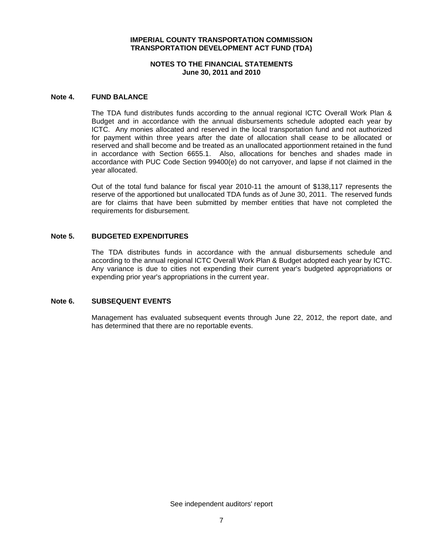### **NOTES TO THE FINANCIAL STATEMENTS June 30, 2011 and 2010**

#### **Note 4. FUND BALANCE**

The TDA fund distributes funds according to the annual regional ICTC Overall Work Plan & Budget and in accordance with the annual disbursements schedule adopted each year by ICTC. Any monies allocated and reserved in the local transportation fund and not authorized for payment within three years after the date of allocation shall cease to be allocated or reserved and shall become and be treated as an unallocated apportionment retained in the fund in accordance with Section 6655.1. Also, allocations for benches and shades made in accordance with PUC Code Section 99400(e) do not carryover, and lapse if not claimed in the year allocated.

Out of the total fund balance for fiscal year 2010-11 the amount of \$138,117 represents the reserve of the apportioned but unallocated TDA funds as of June 30, 2011. The reserved funds are for claims that have been submitted by member entities that have not completed the requirements for disbursement.

#### **Note 5. BUDGETED EXPENDITURES**

The TDA distributes funds in accordance with the annual disbursements schedule and according to the annual regional ICTC Overall Work Plan & Budget adopted each year by ICTC. Any variance is due to cities not expending their current year's budgeted appropriations or expending prior year's appropriations in the current year.

## **Note 6. SUBSEQUENT EVENTS**

Management has evaluated subsequent events through June 22, 2012, the report date, and has determined that there are no reportable events.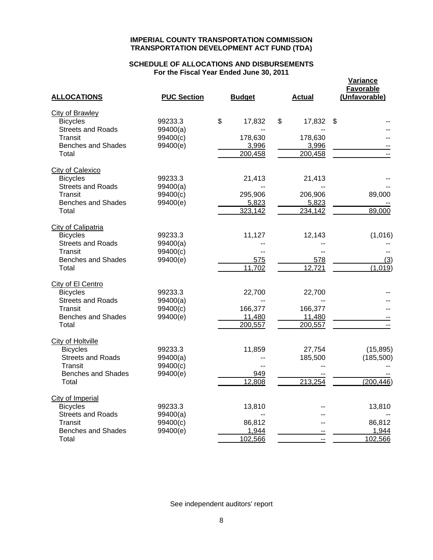# **SCHEDULE OF ALLOCATIONS AND DISBURSEMENTS For the Fiscal Year Ended June 30, 2011**

**Variance**

| <b>ALLOCATIONS</b>        | <b>PUC Section</b> | <b>Budget</b> | <b>Actual</b> | <b>Favorable</b><br>(Unfavorable) |
|---------------------------|--------------------|---------------|---------------|-----------------------------------|
| <b>City of Brawley</b>    |                    |               |               |                                   |
| <b>Bicycles</b>           | 99233.3            | \$<br>17,832  | \$<br>17,832  | $\boldsymbol{\mathsf{S}}$         |
| <b>Streets and Roads</b>  | 99400(a)           |               |               |                                   |
| Transit                   | 99400(c)           | 178,630       | 178,630       |                                   |
| <b>Benches and Shades</b> | 99400(e)           | 3,996         | 3,996         |                                   |
| Total                     |                    | 200,458       | 200,458       |                                   |
| <b>City of Calexico</b>   |                    |               |               |                                   |
| <b>Bicycles</b>           | 99233.3            | 21,413        | 21,413        |                                   |
| <b>Streets and Roads</b>  | 99400(a)           |               |               |                                   |
| Transit                   | 99400(c)           | 295,906       | 206,906       | 89,000                            |
| <b>Benches and Shades</b> | 99400(e)           | 5,823         | 5,823         |                                   |
| Total                     |                    | 323,142       | 234,142       | 89,000                            |
| City of Calipatria        |                    |               |               |                                   |
| <b>Bicycles</b>           | 99233.3            | 11,127        | 12,143        | (1,016)                           |
| <b>Streets and Roads</b>  | 99400(a)           |               |               |                                   |
| Transit                   | 99400(c)           | $-$           |               |                                   |
| <b>Benches and Shades</b> | 99400(e)           | 575           | 578           | (3)                               |
| Total                     |                    | 11,702        | 12,721        | (1,019)                           |
| City of El Centro         |                    |               |               |                                   |
| <b>Bicycles</b>           | 99233.3            | 22,700        | 22,700        |                                   |
| <b>Streets and Roads</b>  | 99400(a)           |               |               |                                   |
| Transit                   | 99400(c)           | 166,377       | 166,377       |                                   |
| <b>Benches and Shades</b> | 99400(e)           | 11,480        | 11,480        |                                   |
| Total                     |                    | 200,557       | 200,557       | $\overline{a}$                    |
| City of Holtville         |                    |               |               |                                   |
| <b>Bicycles</b>           | 99233.3            | 11,859        | 27,754        | (15, 895)                         |
| <b>Streets and Roads</b>  | 99400(a)           | --            | 185,500       | (185, 500)                        |
| Transit                   | 99400(c)           | $-$           |               |                                   |
| <b>Benches and Shades</b> | 99400(e)           | 949           |               |                                   |
| Total                     |                    | 12,808        | 213,254       | (200, 446)                        |
| City of Imperial          |                    |               |               |                                   |
| <b>Bicycles</b>           | 99233.3            | 13,810        |               | 13,810                            |
| <b>Streets and Roads</b>  | 99400(a)           |               |               |                                   |
| Transit                   | 99400(c)           | 86,812        |               | 86,812                            |
| <b>Benches and Shades</b> | 99400(e)           | 1,944         |               | 1,944                             |
| Total                     |                    | 102,566       | --            | 102,566                           |

See independent auditors' report